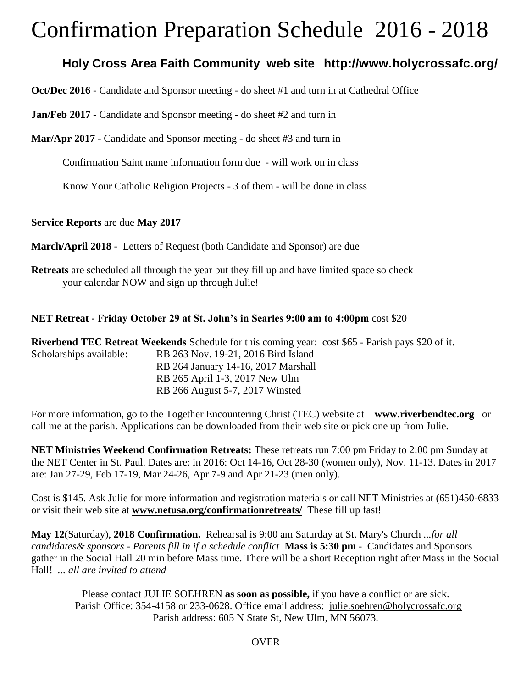# Confirmation Preparation Schedule 2016 - 2018

## **Holy Cross Area Faith Community web site http://www.holycrossafc.org/**

**Oct/Dec 2016** - Candidate and Sponsor meeting - do sheet #1 and turn in at Cathedral Office

**Jan/Feb 2017** - Candidate and Sponsor meeting - do sheet #2 and turn in

**Mar/Apr 2017** - Candidate and Sponsor meeting - do sheet #3 and turn in

Confirmation Saint name information form due - will work on in class

Know Your Catholic Religion Projects - 3 of them - will be done in class

#### **Service Reports** are due **May 2017**

**March/April 2018** - Letters of Request (both Candidate and Sponsor) are due

**Retreats** are scheduled all through the year but they fill up and have limited space so check your calendar NOW and sign up through Julie!

#### **NET Retreat - Friday October 29 at St. John's in Searles 9:00 am to 4:00pm** cost \$20

**Riverbend TEC Retreat Weekends** Schedule for this coming year: cost \$65 - Parish pays \$20 of it. Scholarships available: RB 263 Nov. 19-21, 2016 Bird Island RB 264 January 14-16, 2017 Marshall RB 265 April 1-3, 2017 New Ulm RB 266 August 5-7, 2017 Winsted

For more information, go to the Together Encountering Christ (TEC) website at **www.riverbendtec.org** or call me at the parish. Applications can be downloaded from their web site or pick one up from Julie.

**NET Ministries Weekend Confirmation Retreats:** These retreats run 7:00 pm Friday to 2:00 pm Sunday at the NET Center in St. Paul. Dates are: in 2016: Oct 14-16, Oct 28-30 (women only), Nov. 11-13. Dates in 2017 are: Jan 27-29, Feb 17-19, Mar 24-26, Apr 7-9 and Apr 21-23 (men only).

Cost is \$145. Ask Julie for more information and registration materials or call NET Ministries at (651)450-6833 or visit their web site at **[www.netusa.org/confirmationretreats/](http://www.netusa.org/confirmationretreats/)** These fill up fast!

**May 12**(Saturday), **2018 Confirmation.** Rehearsal is 9:00 am Saturday at St. Mary's Church *...for all candidates& sponsors - Parents fill in if a schedule conflict* **Mass is 5:30 pm** - Candidates and Sponsors gather in the Social Hall 20 min before Mass time. There will be a short Reception right after Mass in the Social Hall! *... all are invited to attend*

Please contact JULIE SOEHREN **as soon as possible,** if you have a conflict or are sick. Parish Office: 354-4158 or 233-0628. Office email address: [julie.soehren@holycrossafc.org](mailto:julie.soehren@holycrossafc.org) Parish address: 605 N State St, New Ulm, MN 56073.